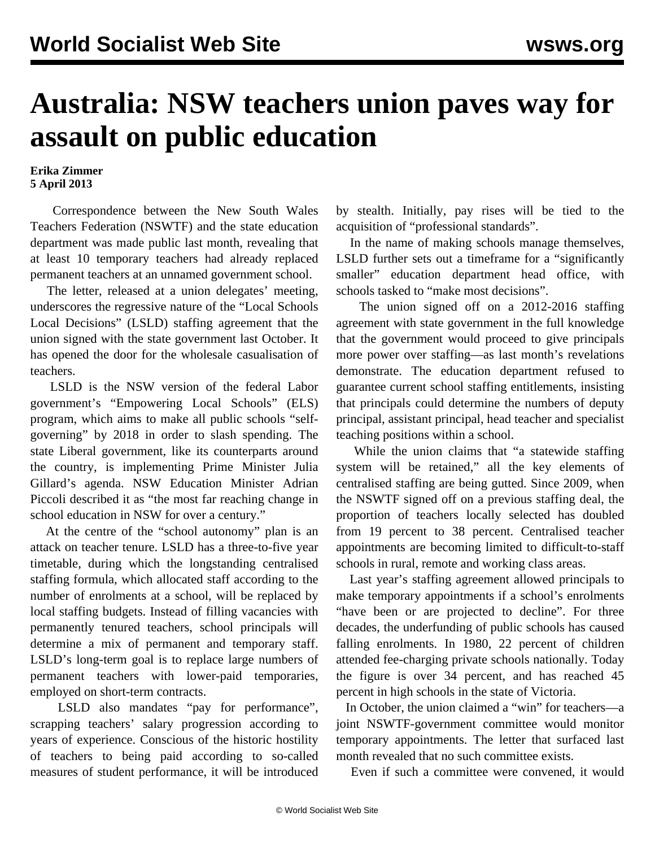## **Australia: NSW teachers union paves way for assault on public education**

## **Erika Zimmer 5 April 2013**

 Correspondence between the New South Wales Teachers Federation (NSWTF) and the state education department was made public last month, revealing that at least 10 temporary teachers had already replaced permanent teachers at an unnamed government school.

 The letter, released at a union delegates' meeting, underscores the regressive nature of the "Local Schools Local Decisions" (LSLD) staffing agreement that the union signed with the state government last October. It has opened the door for the wholesale casualisation of teachers.

 LSLD is the NSW version of the federal Labor government's "Empowering Local Schools" (ELS) program, which aims to make all public schools "selfgoverning" by 2018 in order to slash spending. The state Liberal government, like its counterparts around the country, is implementing Prime Minister Julia Gillard's agenda. NSW Education Minister Adrian Piccoli described it as "the most far reaching change in school education in NSW for over a century."

 At the centre of the "school autonomy" plan is an attack on teacher tenure. LSLD has a three-to-five year timetable, during which the longstanding centralised staffing formula, which allocated staff according to the number of enrolments at a school, will be replaced by local staffing budgets. Instead of filling vacancies with permanently tenured teachers, school principals will determine a mix of permanent and temporary staff. LSLD's long-term goal is to replace large numbers of permanent teachers with lower-paid temporaries, employed on short-term contracts.

 LSLD also mandates "pay for performance", scrapping teachers' salary progression according to years of experience. Conscious of the historic hostility of teachers to being paid according to so-called measures of student performance, it will be introduced by stealth. Initially, pay rises will be tied to the acquisition of "professional standards".

 In the name of making schools manage themselves, LSLD further sets out a timeframe for a "significantly smaller" education department head office, with schools tasked to "make most decisions".

 The union signed off on a 2012-2016 staffing agreement with state government in the full knowledge that the government would proceed to give principals more power over staffing—as last month's revelations demonstrate. The education department refused to guarantee current school staffing entitlements, insisting that principals could determine the numbers of deputy principal, assistant principal, head teacher and specialist teaching positions within a school.

 While the union claims that "a statewide staffing system will be retained," all the key elements of centralised staffing are being gutted. Since 2009, when the NSWTF signed off on a previous staffing deal, the proportion of teachers locally selected has doubled from 19 percent to 38 percent. Centralised teacher appointments are becoming limited to difficult-to-staff schools in rural, remote and working class areas.

 Last year's staffing agreement allowed principals to make temporary appointments if a school's enrolments "have been or are projected to decline". For three decades, the underfunding of public schools has caused falling enrolments. In 1980, 22 percent of children attended fee-charging private schools nationally. Today the figure is over 34 percent, and has reached 45 percent in high schools in the state of Victoria.

 In October, the union claimed a "win" for teachers—a joint NSWTF-government committee would monitor temporary appointments. The letter that surfaced last month revealed that no such committee exists.

Even if such a committee were convened, it would